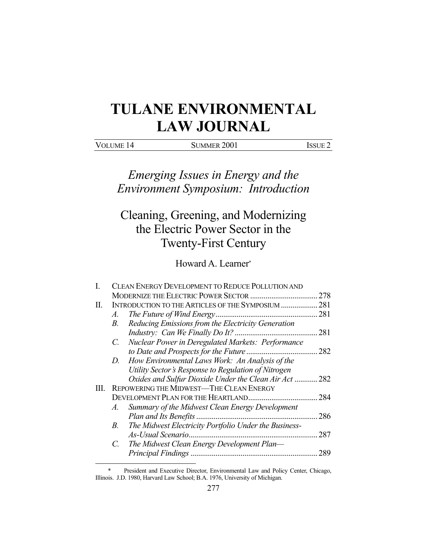# **TULANE ENVIRONMENTAL LAW JOURNAL**

VOLUME 14 SUMMER 2001 ISSUE 2

*Emerging Issues in Energy and the Environment Symposium: Introduction* 

# Cleaning, Greening, and Modernizing the Electric Power Sector in the Twenty-First Century

Howard A. Learner\*

|                                               |                                                       | 278                                                                                                                                                                                                                                                                                                                                                                                                                      |  |  |  |
|-----------------------------------------------|-------------------------------------------------------|--------------------------------------------------------------------------------------------------------------------------------------------------------------------------------------------------------------------------------------------------------------------------------------------------------------------------------------------------------------------------------------------------------------------------|--|--|--|
| INTRODUCTION TO THE ARTICLES OF THE SYMPOSIUM |                                                       |                                                                                                                                                                                                                                                                                                                                                                                                                          |  |  |  |
| A.                                            |                                                       | 281                                                                                                                                                                                                                                                                                                                                                                                                                      |  |  |  |
| В.                                            |                                                       |                                                                                                                                                                                                                                                                                                                                                                                                                          |  |  |  |
|                                               | Industry: Can We Finally Do It?                       | 281                                                                                                                                                                                                                                                                                                                                                                                                                      |  |  |  |
| $C_{\cdot}$                                   |                                                       |                                                                                                                                                                                                                                                                                                                                                                                                                          |  |  |  |
|                                               |                                                       |                                                                                                                                                                                                                                                                                                                                                                                                                          |  |  |  |
| D.                                            |                                                       |                                                                                                                                                                                                                                                                                                                                                                                                                          |  |  |  |
|                                               | Utility Sector's Response to Regulation of Nitrogen   |                                                                                                                                                                                                                                                                                                                                                                                                                          |  |  |  |
|                                               |                                                       | 282                                                                                                                                                                                                                                                                                                                                                                                                                      |  |  |  |
|                                               |                                                       |                                                                                                                                                                                                                                                                                                                                                                                                                          |  |  |  |
|                                               |                                                       | 284                                                                                                                                                                                                                                                                                                                                                                                                                      |  |  |  |
| $\mathcal{A}.$                                | Summary of the Midwest Clean Energy Development       |                                                                                                                                                                                                                                                                                                                                                                                                                          |  |  |  |
|                                               | Plan and Its Benefits                                 | 286                                                                                                                                                                                                                                                                                                                                                                                                                      |  |  |  |
| В.                                            | The Midwest Electricity Portfolio Under the Business- |                                                                                                                                                                                                                                                                                                                                                                                                                          |  |  |  |
|                                               |                                                       | 287                                                                                                                                                                                                                                                                                                                                                                                                                      |  |  |  |
|                                               | The Midwest Clean Energy Development Plan-            |                                                                                                                                                                                                                                                                                                                                                                                                                          |  |  |  |
|                                               |                                                       | 289                                                                                                                                                                                                                                                                                                                                                                                                                      |  |  |  |
|                                               |                                                       |                                                                                                                                                                                                                                                                                                                                                                                                                          |  |  |  |
|                                               |                                                       | <b>CLEAN ENERGY DEVELOPMENT TO REDUCE POLLUTION AND</b><br>MODERNIZE THE ELECTRIC POWER SECTOR<br>Reducing Emissions from the Electricity Generation<br><b>Nuclear Power in Deregulated Markets: Performance</b><br>How Environmental Laws Work: An Analysis of the<br>Oxides and Sulfur Dioxide Under the Clean Air Act<br>REPOWERING THE MIDWEST—THE CLEAN ENERGY<br>DEVELOPMENT PLAN FOR THE HEARTLAND<br>$C_{\cdot}$ |  |  |  |

 <sup>\*</sup> President and Executive Director, Environmental Law and Policy Center, Chicago, Illinois. J.D. 1980, Harvard Law School; B.A. 1976, University of Michigan.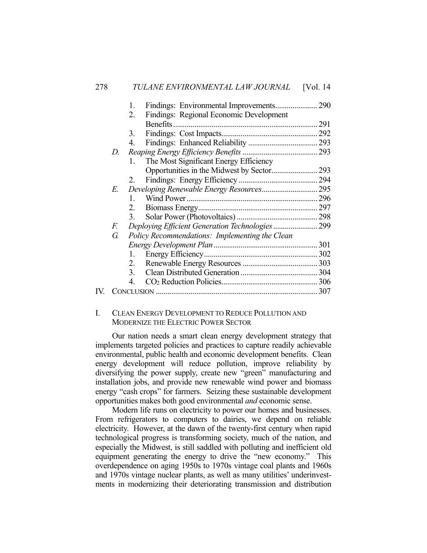|    | 1.                                               |       |
|----|--------------------------------------------------|-------|
|    | Findings: Regional Economic Development<br>2.    |       |
|    |                                                  |       |
|    | 3.                                               |       |
|    | 4.                                               |       |
| D. |                                                  |       |
|    | The Most Significant Energy Efficiency<br>1.     |       |
|    |                                                  |       |
|    | 2.                                               |       |
| E. |                                                  |       |
|    | $\mathbf{1}$                                     |       |
|    | 2.                                               |       |
|    | 3.                                               |       |
| F. | Deploying Efficient Generation Technologies  299 |       |
| G. | Policy Recommendations: Implementing the Clean   |       |
|    |                                                  |       |
|    | 1.                                               |       |
|    | 2.                                               |       |
|    | 3.                                               |       |
|    | 4.                                               |       |
|    |                                                  | . 307 |

# I. CLEAN ENERGY DEVELOPMENT TO REDUCE POLLUTION AND MODERNIZE THE ELECTRIC POWER SECTOR

 Our nation needs a smart clean energy development strategy that implements targeted policies and practices to capture readily achievable environmental, public health and economic development benefits. Clean energy development will reduce pollution, improve reliability by diversifying the power supply, create new "green" manufacturing and installation jobs, and provide new renewable wind power and biomass energy "cash crops" for farmers. Seizing these sustainable development opportunities makes both good environmental *and* economic sense.

 Modern life runs on electricity to power our homes and businesses. From refrigerators to computers to dairies, we depend on reliable electricity. However, at the dawn of the twenty-first century when rapid technological progress is transforming society, much of the nation, and especially the Midwest, is still saddled with polluting and inefficient old equipment generating the energy to drive the "new economy." This overdependence on aging 1950s to 1970s vintage coal plants and 1960s and 1970s vintage nuclear plants, as well as many utilities' underinvestments in modernizing their deteriorating transmission and distribution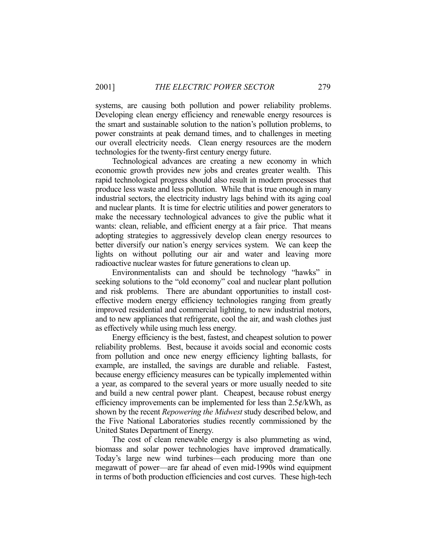systems, are causing both pollution and power reliability problems. Developing clean energy efficiency and renewable energy resources is the smart and sustainable solution to the nation's pollution problems, to power constraints at peak demand times, and to challenges in meeting our overall electricity needs. Clean energy resources are the modern technologies for the twenty-first century energy future.

 Technological advances are creating a new economy in which economic growth provides new jobs and creates greater wealth. This rapid technological progress should also result in modern processes that produce less waste and less pollution. While that is true enough in many industrial sectors, the electricity industry lags behind with its aging coal and nuclear plants. It is time for electric utilities and power generators to make the necessary technological advances to give the public what it wants: clean, reliable, and efficient energy at a fair price. That means adopting strategies to aggressively develop clean energy resources to better diversify our nation's energy services system. We can keep the lights on without polluting our air and water and leaving more radioactive nuclear wastes for future generations to clean up.

 Environmentalists can and should be technology "hawks" in seeking solutions to the "old economy" coal and nuclear plant pollution and risk problems. There are abundant opportunities to install costeffective modern energy efficiency technologies ranging from greatly improved residential and commercial lighting, to new industrial motors, and to new appliances that refrigerate, cool the air, and wash clothes just as effectively while using much less energy.

 Energy efficiency is the best, fastest, and cheapest solution to power reliability problems. Best, because it avoids social and economic costs from pollution and once new energy efficiency lighting ballasts, for example, are installed, the savings are durable and reliable. Fastest, because energy efficiency measures can be typically implemented within a year, as compared to the several years or more usually needed to site and build a new central power plant. Cheapest, because robust energy efficiency improvements can be implemented for less than 2.5¢/kWh, as shown by the recent *Repowering the Midwest* study described below, and the Five National Laboratories studies recently commissioned by the United States Department of Energy.

 The cost of clean renewable energy is also plummeting as wind, biomass and solar power technologies have improved dramatically. Today's large new wind turbines—each producing more than one megawatt of power—are far ahead of even mid-1990s wind equipment in terms of both production efficiencies and cost curves. These high-tech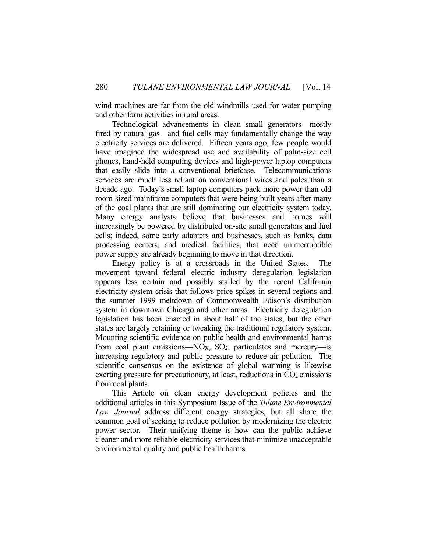wind machines are far from the old windmills used for water pumping and other farm activities in rural areas.

 Technological advancements in clean small generators—mostly fired by natural gas—and fuel cells may fundamentally change the way electricity services are delivered. Fifteen years ago, few people would have imagined the widespread use and availability of palm-size cell phones, hand-held computing devices and high-power laptop computers that easily slide into a conventional briefcase. Telecommunications services are much less reliant on conventional wires and poles than a decade ago. Today's small laptop computers pack more power than old room-sized mainframe computers that were being built years after many of the coal plants that are still dominating our electricity system today. Many energy analysts believe that businesses and homes will increasingly be powered by distributed on-site small generators and fuel cells; indeed, some early adapters and businesses, such as banks, data processing centers, and medical facilities, that need uninterruptible power supply are already beginning to move in that direction.

 Energy policy is at a crossroads in the United States. The movement toward federal electric industry deregulation legislation appears less certain and possibly stalled by the recent California electricity system crisis that follows price spikes in several regions and the summer 1999 meltdown of Commonwealth Edison's distribution system in downtown Chicago and other areas. Electricity deregulation legislation has been enacted in about half of the states, but the other states are largely retaining or tweaking the traditional regulatory system. Mounting scientific evidence on public health and environmental harms from coal plant emissions— $NO<sub>X</sub>$ ,  $SO<sub>2</sub>$ , particulates and mercury—is increasing regulatory and public pressure to reduce air pollution. The scientific consensus on the existence of global warming is likewise exerting pressure for precautionary, at least, reductions in  $CO<sub>2</sub>$  emissions from coal plants.

 This Article on clean energy development policies and the additional articles in this Symposium Issue of the *Tulane Environmental Law Journal* address different energy strategies, but all share the common goal of seeking to reduce pollution by modernizing the electric power sector. Their unifying theme is how can the public achieve cleaner and more reliable electricity services that minimize unacceptable environmental quality and public health harms.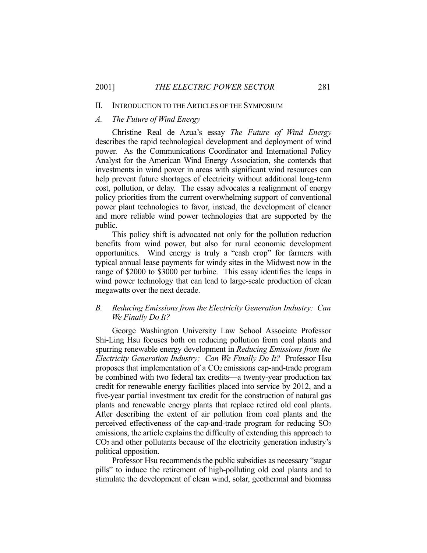#### II. INTRODUCTION TO THE ARTICLES OF THE SYMPOSIUM

#### *A. The Future of Wind Energy*

 Christine Real de Azua's essay *The Future of Wind Energy* describes the rapid technological development and deployment of wind power. As the Communications Coordinator and International Policy Analyst for the American Wind Energy Association, she contends that investments in wind power in areas with significant wind resources can help prevent future shortages of electricity without additional long-term cost, pollution, or delay. The essay advocates a realignment of energy policy priorities from the current overwhelming support of conventional power plant technologies to favor, instead, the development of cleaner and more reliable wind power technologies that are supported by the public.

 This policy shift is advocated not only for the pollution reduction benefits from wind power, but also for rural economic development opportunities. Wind energy is truly a "cash crop" for farmers with typical annual lease payments for windy sites in the Midwest now in the range of \$2000 to \$3000 per turbine. This essay identifies the leaps in wind power technology that can lead to large-scale production of clean megawatts over the next decade.

# *B. Reducing Emissions from the Electricity Generation Industry: Can We Finally Do It?*

 George Washington University Law School Associate Professor Shi-Ling Hsu focuses both on reducing pollution from coal plants and spurring renewable energy development in *Reducing Emissions from the Electricity Generation Industry: Can We Finally Do It?* Professor Hsu proposes that implementation of a CO2 emissions cap-and-trade program be combined with two federal tax credits—a twenty-year production tax credit for renewable energy facilities placed into service by 2012, and a five-year partial investment tax credit for the construction of natural gas plants and renewable energy plants that replace retired old coal plants. After describing the extent of air pollution from coal plants and the perceived effectiveness of the cap-and-trade program for reducing  $SO<sub>2</sub>$ emissions, the article explains the difficulty of extending this approach to CO2 and other pollutants because of the electricity generation industry's political opposition.

 Professor Hsu recommends the public subsidies as necessary "sugar pills" to induce the retirement of high-polluting old coal plants and to stimulate the development of clean wind, solar, geothermal and biomass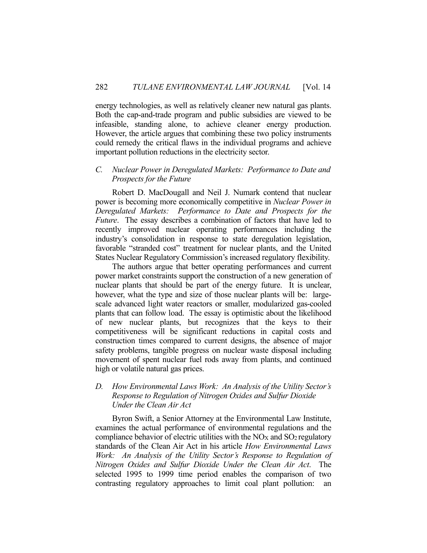energy technologies, as well as relatively cleaner new natural gas plants. Both the cap-and-trade program and public subsidies are viewed to be infeasible, standing alone, to achieve cleaner energy production. However, the article argues that combining these two policy instruments could remedy the critical flaws in the individual programs and achieve important pollution reductions in the electricity sector.

# *C. Nuclear Power in Deregulated Markets: Performance to Date and Prospects for the Future*

 Robert D. MacDougall and Neil J. Numark contend that nuclear power is becoming more economically competitive in *Nuclear Power in Deregulated Markets: Performance to Date and Prospects for the Future*. The essay describes a combination of factors that have led to recently improved nuclear operating performances including the industry's consolidation in response to state deregulation legislation, favorable "stranded cost" treatment for nuclear plants, and the United States Nuclear Regulatory Commission's increased regulatory flexibility.

 The authors argue that better operating performances and current power market constraints support the construction of a new generation of nuclear plants that should be part of the energy future. It is unclear, however, what the type and size of those nuclear plants will be: largescale advanced light water reactors or smaller, modularized gas-cooled plants that can follow load. The essay is optimistic about the likelihood of new nuclear plants, but recognizes that the keys to their competitiveness will be significant reductions in capital costs and construction times compared to current designs, the absence of major safety problems, tangible progress on nuclear waste disposal including movement of spent nuclear fuel rods away from plants, and continued high or volatile natural gas prices.

# *D. How Environmental Laws Work: An Analysis of the Utility Sector's Response to Regulation of Nitrogen Oxides and Sulfur Dioxide Under the Clean Air Act*

 Byron Swift, a Senior Attorney at the Environmental Law Institute, examines the actual performance of environmental regulations and the compliance behavior of electric utilities with the  $NO<sub>X</sub>$  and  $SO<sub>2</sub>$  regulatory standards of the Clean Air Act in his article *How Environmental Laws Work: An Analysis of the Utility Sector's Response to Regulation of Nitrogen Oxides and Sulfur Dioxide Under the Clean Air Act*. The selected 1995 to 1999 time period enables the comparison of two contrasting regulatory approaches to limit coal plant pollution: an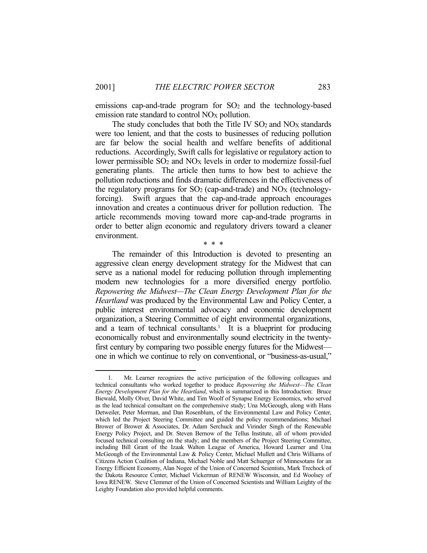emissions cap-and-trade program for  $SO<sub>2</sub>$  and the technology-based emission rate standard to control NO<sub>X</sub> pollution.

The study concludes that both the Title IV  $SO_2$  and  $NO<sub>X</sub>$  standards were too lenient, and that the costs to businesses of reducing pollution are far below the social health and welfare benefits of additional reductions. Accordingly, Swift calls for legislative or regulatory action to lower permissible  $SO_2$  and  $NO<sub>X</sub>$  levels in order to modernize fossil-fuel generating plants. The article then turns to how best to achieve the pollution reductions and finds dramatic differences in the effectiveness of the regulatory programs for  $SO_2$  (cap-and-trade) and  $NO<sub>X</sub>$  (technologyforcing). Swift argues that the cap-and-trade approach encourages innovation and creates a continuous driver for pollution reduction. The article recommends moving toward more cap-and-trade programs in order to better align economic and regulatory drivers toward a cleaner environment.

\* \* \*

 The remainder of this Introduction is devoted to presenting an aggressive clean energy development strategy for the Midwest that can serve as a national model for reducing pollution through implementing modern new technologies for a more diversified energy portfolio. *Repowering the Midwest—The Clean Energy Development Plan for the Heartland* was produced by the Environmental Law and Policy Center, a public interest environmental advocacy and economic development organization, a Steering Committee of eight environmental organizations, and a team of technical consultants.<sup>1</sup> It is a blueprint for producing economically robust and environmentally sound electricity in the twentyfirst century by comparing two possible energy futures for the Midwest one in which we continue to rely on conventional, or "business-as-usual,"

1

 <sup>1.</sup> Mr. Learner recognizes the active participation of the following colleagues and technical consultants who worked together to produce *Repowering the Midwest—The Clean Energy Development Plan for the Heartland*, which is summarized in this Introduction: Bruce Biewald, Molly Olver, David White, and Tim Woolf of Synapse Energy Economics, who served as the lead technical consultant on the comprehensive study; Una McGeough, along with Hans Detweiler, Peter Morman, and Dan Rosenblum, of the Environmental Law and Policy Center, which led the Project Steering Committee and guided the policy recommendations; Michael Brower of Brower & Associates, Dr. Adam Serchuck and Virinder Singh of the Renewable Energy Policy Project, and Dr. Steven Bernow of the Tellus Institute, all of whom provided focused technical consulting on the study; and the members of the Project Steering Committee, including Bill Grant of the Izaak Walton League of America, Howard Learner and Una McGeough of the Environmental Law & Policy Center, Michael Mullett and Chris Williams of Citizens Action Coalition of Indiana, Michael Noble and Matt Schuerger of Minnesotans for an Energy Efficient Economy, Alan Nogee of the Union of Concerned Scientists, Mark Trechock of the Dakota Resource Center, Michael Vickerman of RENEW Wisconsin, and Ed Woolsey of Iowa RENEW. Steve Clemmer of the Union of Concerned Scientists and William Leighty of the Leighty Foundation also provided helpful comments.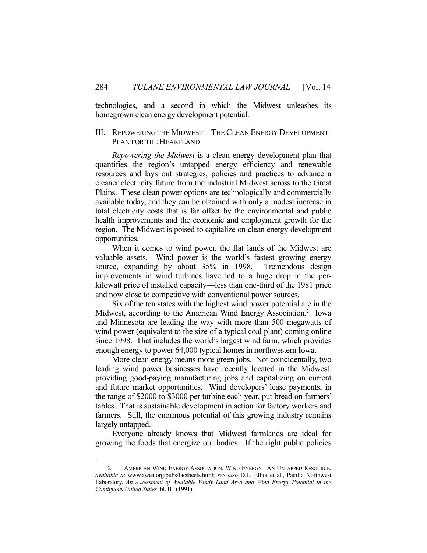technologies, and a second in which the Midwest unleashes its homegrown clean energy development potential.

# III. REPOWERING THE MIDWEST—THE CLEAN ENERGY DEVELOPMENT PLAN FOR THE HEARTLAND

 *Repowering the Midwest* is a clean energy development plan that quantifies the region's untapped energy efficiency and renewable resources and lays out strategies, policies and practices to advance a cleaner electricity future from the industrial Midwest across to the Great Plains. These clean power options are technologically and commercially available today, and they can be obtained with only a modest increase in total electricity costs that is far offset by the environmental and public health improvements and the economic and employment growth for the region. The Midwest is poised to capitalize on clean energy development opportunities.

 When it comes to wind power, the flat lands of the Midwest are valuable assets. Wind power is the world's fastest growing energy source, expanding by about 35% in 1998. Tremendous design improvements in wind turbines have led to a huge drop in the perkilowatt price of installed capacity—less than one-third of the 1981 price and now close to competitive with conventional power sources.

 Six of the ten states with the highest wind power potential are in the Midwest, according to the American Wind Energy Association.<sup>2</sup> Iowa and Minnesota are leading the way with more than 500 megawatts of wind power (equivalent to the size of a typical coal plant) coming online since 1998. That includes the world's largest wind farm, which provides enough energy to power 64,000 typical homes in northwestern Iowa.

 More clean energy means more green jobs. Not coincidentally, two leading wind power businesses have recently located in the Midwest, providing good-paying manufacturing jobs and capitalizing on current and future market opportunities. Wind developers' lease payments, in the range of \$2000 to \$3000 per turbine each year, put bread on farmers' tables. That is sustainable development in action for factory workers and farmers. Still, the enormous potential of this growing industry remains largely untapped.

 Everyone already knows that Midwest farmlands are ideal for growing the foods that energize our bodies. If the right public policies

<u>.</u>

 <sup>2.</sup> AMERICAN WIND ENERGY ASSOCIATION, WIND ENERGY: AN UNTAPPED RESOURCE, *available at* www.awea.org/pubs/facsheets.html; *see also* D.L. Elliot et al., Pacific Northwest Laboratory, *An Assessment of Available Windy Land Area and Wind Energy Potential in the Contiguous United States* tbl. B1 (1991).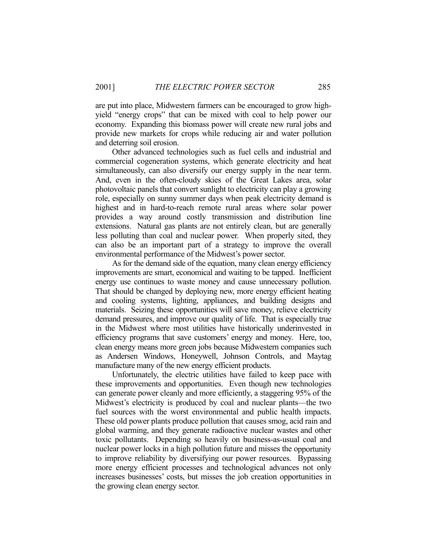are put into place, Midwestern farmers can be encouraged to grow highyield "energy crops" that can be mixed with coal to help power our economy. Expanding this biomass power will create new rural jobs and provide new markets for crops while reducing air and water pollution and deterring soil erosion.

 Other advanced technologies such as fuel cells and industrial and commercial cogeneration systems, which generate electricity and heat simultaneously, can also diversify our energy supply in the near term. And, even in the often-cloudy skies of the Great Lakes area, solar photovoltaic panels that convert sunlight to electricity can play a growing role, especially on sunny summer days when peak electricity demand is highest and in hard-to-reach remote rural areas where solar power provides a way around costly transmission and distribution line extensions. Natural gas plants are not entirely clean, but are generally less polluting than coal and nuclear power. When properly sited, they can also be an important part of a strategy to improve the overall environmental performance of the Midwest's power sector.

 As for the demand side of the equation, many clean energy efficiency improvements are smart, economical and waiting to be tapped. Inefficient energy use continues to waste money and cause unnecessary pollution. That should be changed by deploying new, more energy efficient heating and cooling systems, lighting, appliances, and building designs and materials. Seizing these opportunities will save money, relieve electricity demand pressures, and improve our quality of life. That is especially true in the Midwest where most utilities have historically underinvested in efficiency programs that save customers' energy and money. Here, too, clean energy means more green jobs because Midwestern companies such as Andersen Windows, Honeywell, Johnson Controls, and Maytag manufacture many of the new energy efficient products.

 Unfortunately, the electric utilities have failed to keep pace with these improvements and opportunities. Even though new technologies can generate power cleanly and more efficiently, a staggering 95% of the Midwest's electricity is produced by coal and nuclear plants—the two fuel sources with the worst environmental and public health impacts. These old power plants produce pollution that causes smog, acid rain and global warming, and they generate radioactive nuclear wastes and other toxic pollutants. Depending so heavily on business-as-usual coal and nuclear power locks in a high pollution future and misses the opportunity to improve reliability by diversifying our power resources. Bypassing more energy efficient processes and technological advances not only increases businesses' costs, but misses the job creation opportunities in the growing clean energy sector.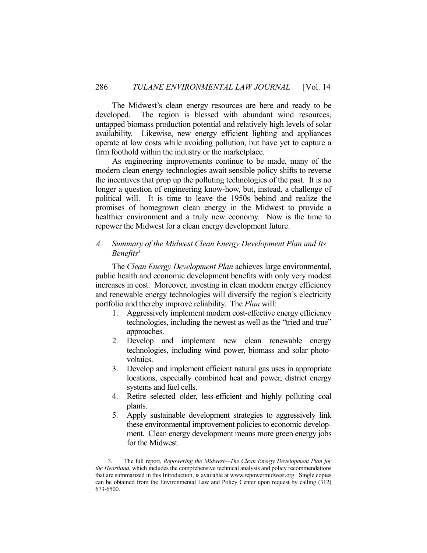The Midwest's clean energy resources are here and ready to be developed. The region is blessed with abundant wind resources, untapped biomass production potential and relatively high levels of solar availability. Likewise, new energy efficient lighting and appliances operate at low costs while avoiding pollution, but have yet to capture a firm foothold within the industry or the marketplace.

 As engineering improvements continue to be made, many of the modern clean energy technologies await sensible policy shifts to reverse the incentives that prop up the polluting technologies of the past. It is no longer a question of engineering know-how, but, instead, a challenge of political will. It is time to leave the 1950s behind and realize the promises of homegrown clean energy in the Midwest to provide a healthier environment and a truly new economy. Now is the time to repower the Midwest for a clean energy development future.

# *A. Summary of the Midwest Clean Energy Development Plan and Its Benefits*<sup>3</sup>

 The *Clean Energy Development Plan* achieves large environmental, public health and economic development benefits with only very modest increases in cost. Moreover, investing in clean modern energy efficiency and renewable energy technologies will diversify the region's electricity portfolio and thereby improve reliability. The *Plan* will:

- 1. Aggressively implement modern cost-effective energy efficiency technologies, including the newest as well as the "tried and true" approaches.
- 2. Develop and implement new clean renewable energy technologies, including wind power, biomass and solar photovoltaics.
- 3. Develop and implement efficient natural gas uses in appropriate locations, especially combined heat and power, district energy systems and fuel cells.
- 4. Retire selected older, less-efficient and highly polluting coal plants.
- 5. Apply sustainable development strategies to aggressively link these environmental improvement policies to economic development. Clean energy development means more green energy jobs for the Midwest.

1

 <sup>3.</sup> The full report, *Repowering the Midwest—The Clean Energy Development Plan for the Heartland*, which includes the comprehensive technical analysis and policy recommendations that are summarized in this Introduction, is available at www.repowermidwest.org. Single copies can be obtained from the Environmental Law and Policy Center upon request by calling (312) 673-6500.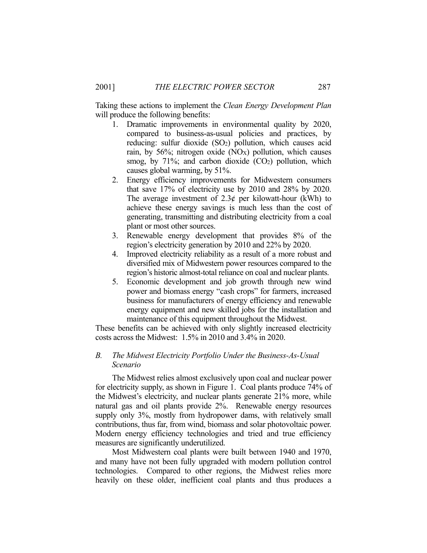Taking these actions to implement the *Clean Energy Development Plan*  will produce the following benefits:

- 1. Dramatic improvements in environmental quality by 2020, compared to business-as-usual policies and practices, by reducing: sulfur dioxide  $(SO<sub>2</sub>)$  pollution, which causes acid rain, by  $56\%$ ; nitrogen oxide (NO<sub>X</sub>) pollution, which causes smog, by 71%; and carbon dioxide  $(CO<sub>2</sub>)$  pollution, which causes global warming, by 51%.
- 2. Energy efficiency improvements for Midwestern consumers that save 17% of electricity use by 2010 and 28% by 2020. The average investment of  $2.3\phi$  per kilowatt-hour (kWh) to achieve these energy savings is much less than the cost of generating, transmitting and distributing electricity from a coal plant or most other sources.
- 3. Renewable energy development that provides 8% of the region's electricity generation by 2010 and 22% by 2020.
- 4. Improved electricity reliability as a result of a more robust and diversified mix of Midwestern power resources compared to the region's historic almost-total reliance on coal and nuclear plants.
- 5. Economic development and job growth through new wind power and biomass energy "cash crops" for farmers, increased business for manufacturers of energy efficiency and renewable energy equipment and new skilled jobs for the installation and maintenance of this equipment throughout the Midwest.

These benefits can be achieved with only slightly increased electricity costs across the Midwest: 1.5% in 2010 and 3.4% in 2020.

# *B. The Midwest Electricity Portfolio Under the Business-As-Usual Scenario*

 The Midwest relies almost exclusively upon coal and nuclear power for electricity supply, as shown in Figure 1. Coal plants produce 74% of the Midwest's electricity, and nuclear plants generate 21% more, while natural gas and oil plants provide 2%. Renewable energy resources supply only 3%, mostly from hydropower dams, with relatively small contributions, thus far, from wind, biomass and solar photovoltaic power. Modern energy efficiency technologies and tried and true efficiency measures are significantly underutilized.

 Most Midwestern coal plants were built between 1940 and 1970, and many have not been fully upgraded with modern pollution control technologies. Compared to other regions, the Midwest relies more heavily on these older, inefficient coal plants and thus produces a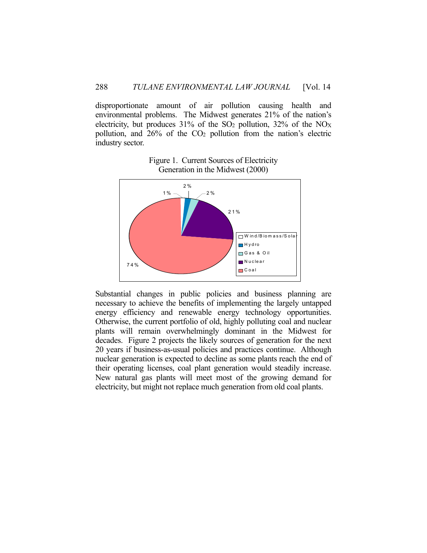disproportionate amount of air pollution causing health and environmental problems. The Midwest generates 21% of the nation's electricity, but produces  $31\%$  of the SO<sub>2</sub> pollution,  $32\%$  of the NO<sub>X</sub> pollution, and 26% of the CO2 pollution from the nation's electric industry sector.



Figure 1. Current Sources of Electricity Generation in the Midwest (2000)

Substantial changes in public policies and business planning are necessary to achieve the benefits of implementing the largely untapped energy efficiency and renewable energy technology opportunities. Otherwise, the current portfolio of old, highly polluting coal and nuclear plants will remain overwhelmingly dominant in the Midwest for decades. Figure 2 projects the likely sources of generation for the next 20 years if business-as-usual policies and practices continue. Although nuclear generation is expected to decline as some plants reach the end of their operating licenses, coal plant generation would steadily increase. New natural gas plants will meet most of the growing demand for electricity, but might not replace much generation from old coal plants.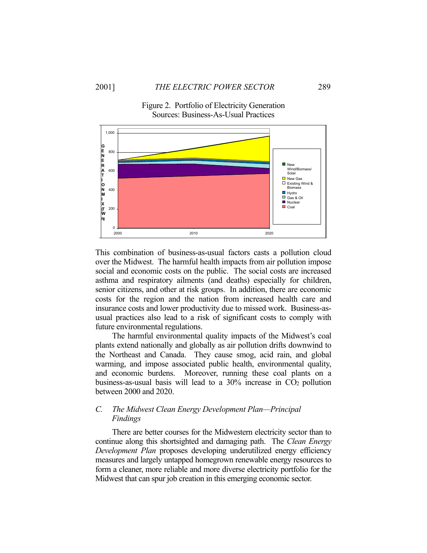Figure 2. Portfolio of Electricity Generation Sources: Business-As-Usual Practices



This combination of business-as-usual factors casts a pollution cloud over the Midwest. The harmful health impacts from air pollution impose social and economic costs on the public. The social costs are increased asthma and respiratory ailments (and deaths) especially for children, senior citizens, and other at risk groups. In addition, there are economic costs for the region and the nation from increased health care and insurance costs and lower productivity due to missed work. Business-asusual practices also lead to a risk of significant costs to comply with future environmental regulations.

 The harmful environmental quality impacts of the Midwest's coal plants extend nationally and globally as air pollution drifts downwind to the Northeast and Canada. They cause smog, acid rain, and global warming, and impose associated public health, environmental quality, and economic burdens. Moreover, running these coal plants on a business-as-usual basis will lead to a 30% increase in CO<sub>2</sub> pollution between 2000 and 2020.

# *C. The Midwest Clean Energy Development Plan—Principal Findings*

 There are better courses for the Midwestern electricity sector than to continue along this shortsighted and damaging path. The *Clean Energy Development Plan* proposes developing underutilized energy efficiency measures and largely untapped homegrown renewable energy resources to form a cleaner, more reliable and more diverse electricity portfolio for the Midwest that can spur job creation in this emerging economic sector.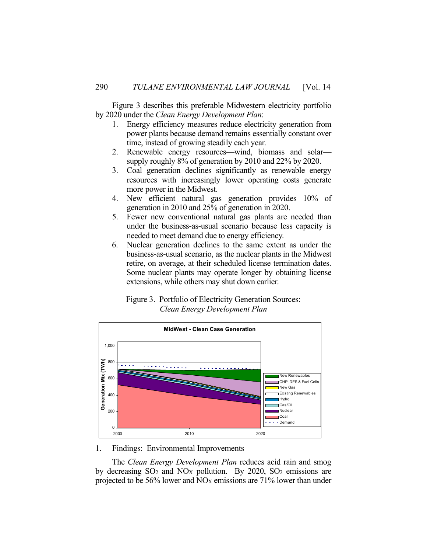Figure 3 describes this preferable Midwestern electricity portfolio by 2020 under the *Clean Energy Development Plan*:

- 1. Energy efficiency measures reduce electricity generation from power plants because demand remains essentially constant over time, instead of growing steadily each year.
- 2. Renewable energy resources—wind, biomass and solar supply roughly 8% of generation by 2010 and 22% by 2020.
- 3. Coal generation declines significantly as renewable energy resources with increasingly lower operating costs generate more power in the Midwest.
- 4. New efficient natural gas generation provides 10% of generation in 2010 and 25% of generation in 2020.
- 5. Fewer new conventional natural gas plants are needed than under the business-as-usual scenario because less capacity is needed to meet demand due to energy efficiency.
- 6. Nuclear generation declines to the same extent as under the business-as-usual scenario, as the nuclear plants in the Midwest retire, on average, at their scheduled license termination dates. Some nuclear plants may operate longer by obtaining license extensions, while others may shut down earlier.

# Figure 3. Portfolio of Electricity Generation Sources: *Clean Energy Development Plan*



# 1. Findings: Environmental Improvements

 The *Clean Energy Development Plan* reduces acid rain and smog by decreasing  $SO<sub>2</sub>$  and  $NO<sub>X</sub>$  pollution. By 2020,  $SO<sub>2</sub>$  emissions are projected to be 56% lower and  $NO<sub>X</sub>$  emissions are 71% lower than under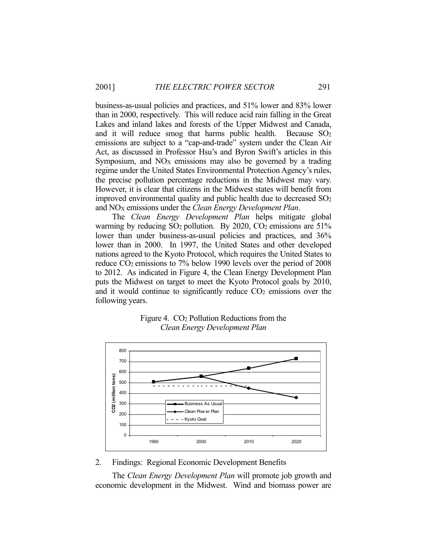business-as-usual policies and practices, and 51% lower and 83% lower than in 2000, respectively. This will reduce acid rain falling in the Great Lakes and inland lakes and forests of the Upper Midwest and Canada, and it will reduce smog that harms public health. Because  $SO<sub>2</sub>$ emissions are subject to a "cap-and-trade" system under the Clean Air Act, as discussed in Professor Hsu's and Byron Swift's articles in this Symposium, and  $NO<sub>X</sub>$  emissions may also be governed by a trading regime under the United States Environmental Protection Agency's rules, the precise pollution percentage reductions in the Midwest may vary. However, it is clear that citizens in the Midwest states will benefit from improved environmental quality and public health due to decreased SO2 and NOX emissions under the *Clean Energy Development Plan*.

 The *Clean Energy Development Plan* helps mitigate global warming by reducing  $SO_2$  pollution. By 2020,  $CO_2$  emissions are 51% lower than under business-as-usual policies and practices, and  $36\%$ lower than in 2000. In 1997, the United States and other developed nations agreed to the Kyoto Protocol, which requires the United States to reduce CO2 emissions to 7% below 1990 levels over the period of 2008 to 2012. As indicated in Figure 4, the Clean Energy Development Plan puts the Midwest on target to meet the Kyoto Protocol goals by 2010, and it would continue to significantly reduce  $CO<sub>2</sub>$  emissions over the following years.



Figure 4. CO<sub>2</sub> Pollution Reductions from the *Clean Energy Development Plan*

#### 2. Findings: Regional Economic Development Benefits

 The *Clean Energy Development Plan* will promote job growth and economic development in the Midwest. Wind and biomass power are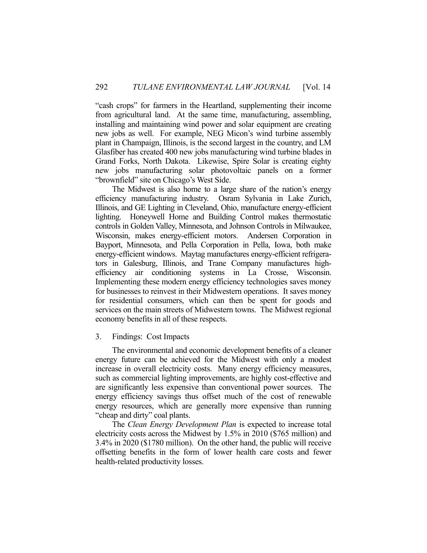"cash crops" for farmers in the Heartland, supplementing their income from agricultural land. At the same time, manufacturing, assembling, installing and maintaining wind power and solar equipment are creating new jobs as well. For example, NEG Micon's wind turbine assembly plant in Champaign, Illinois, is the second largest in the country, and LM Glasfiber has created 400 new jobs manufacturing wind turbine blades in Grand Forks, North Dakota. Likewise, Spire Solar is creating eighty new jobs manufacturing solar photovoltaic panels on a former "brownfield" site on Chicago's West Side.

 The Midwest is also home to a large share of the nation's energy efficiency manufacturing industry. Osram Sylvania in Lake Zurich, Illinois, and GE Lighting in Cleveland, Ohio, manufacture energy-efficient lighting. Honeywell Home and Building Control makes thermostatic controls in Golden Valley, Minnesota, and Johnson Controls in Milwaukee, Wisconsin, makes energy-efficient motors. Andersen Corporation in Bayport, Minnesota, and Pella Corporation in Pella, Iowa, both make energy-efficient windows. Maytag manufactures energy-efficient refrigerators in Galesburg, Illinois, and Trane Company manufactures highefficiency air conditioning systems in La Crosse, Wisconsin. Implementing these modern energy efficiency technologies saves money for businesses to reinvest in their Midwestern operations. It saves money for residential consumers, which can then be spent for goods and services on the main streets of Midwestern towns. The Midwest regional economy benefits in all of these respects.

#### 3. Findings: Cost Impacts

 The environmental and economic development benefits of a cleaner energy future can be achieved for the Midwest with only a modest increase in overall electricity costs. Many energy efficiency measures, such as commercial lighting improvements, are highly cost-effective and are significantly less expensive than conventional power sources. The energy efficiency savings thus offset much of the cost of renewable energy resources, which are generally more expensive than running "cheap and dirty" coal plants.

 The *Clean Energy Development Plan* is expected to increase total electricity costs across the Midwest by 1.5% in 2010 (\$765 million) and 3.4% in 2020 (\$1780 million). On the other hand, the public will receive offsetting benefits in the form of lower health care costs and fewer health-related productivity losses.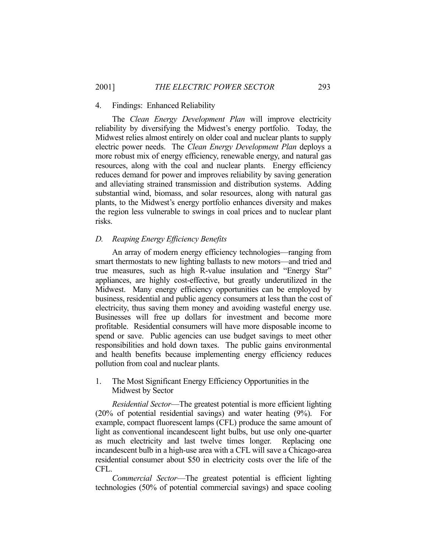#### 4. Findings: Enhanced Reliability

 The *Clean Energy Development Plan* will improve electricity reliability by diversifying the Midwest's energy portfolio. Today, the Midwest relies almost entirely on older coal and nuclear plants to supply electric power needs. The *Clean Energy Development Plan* deploys a more robust mix of energy efficiency, renewable energy, and natural gas resources, along with the coal and nuclear plants. Energy efficiency reduces demand for power and improves reliability by saving generation and alleviating strained transmission and distribution systems. Adding substantial wind, biomass, and solar resources, along with natural gas plants, to the Midwest's energy portfolio enhances diversity and makes the region less vulnerable to swings in coal prices and to nuclear plant risks.

# *D. Reaping Energy Efficiency Benefits*

 An array of modern energy efficiency technologies—ranging from smart thermostats to new lighting ballasts to new motors—and tried and true measures, such as high R-value insulation and "Energy Star" appliances, are highly cost-effective, but greatly underutilized in the Midwest. Many energy efficiency opportunities can be employed by business, residential and public agency consumers at less than the cost of electricity, thus saving them money and avoiding wasteful energy use. Businesses will free up dollars for investment and become more profitable. Residential consumers will have more disposable income to spend or save. Public agencies can use budget savings to meet other responsibilities and hold down taxes. The public gains environmental and health benefits because implementing energy efficiency reduces pollution from coal and nuclear plants.

1. The Most Significant Energy Efficiency Opportunities in the Midwest by Sector

 *Residential Sector*—The greatest potential is more efficient lighting (20% of potential residential savings) and water heating (9%). For example, compact fluorescent lamps (CFL) produce the same amount of light as conventional incandescent light bulbs, but use only one-quarter as much electricity and last twelve times longer. Replacing one incandescent bulb in a high-use area with a CFL will save a Chicago-area residential consumer about \$50 in electricity costs over the life of the CFL.

 *Commercial Sector*—The greatest potential is efficient lighting technologies (50% of potential commercial savings) and space cooling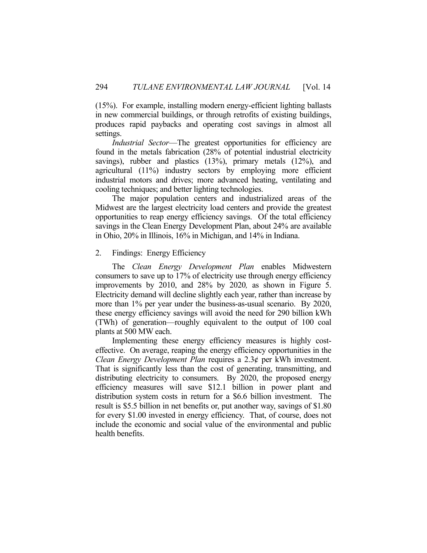(15%). For example, installing modern energy-efficient lighting ballasts in new commercial buildings, or through retrofits of existing buildings, produces rapid paybacks and operating cost savings in almost all settings.

 *Industrial Sector*—The greatest opportunities for efficiency are found in the metals fabrication (28% of potential industrial electricity savings), rubber and plastics (13%), primary metals (12%), and agricultural (11%) industry sectors by employing more efficient industrial motors and drives; more advanced heating, ventilating and cooling techniques; and better lighting technologies.

 The major population centers and industrialized areas of the Midwest are the largest electricity load centers and provide the greatest opportunities to reap energy efficiency savings. Of the total efficiency savings in the Clean Energy Development Plan, about 24% are available in Ohio, 20% in Illinois, 16% in Michigan, and 14% in Indiana.

# 2. Findings: Energy Efficiency

 The *Clean Energy Development Plan* enables Midwestern consumers to save up to 17% of electricity use through energy efficiency improvements by 2010, and 28% by 2020*,* as shown in Figure 5. Electricity demand will decline slightly each year, rather than increase by more than 1% per year under the business-as-usual scenario. By 2020, these energy efficiency savings will avoid the need for 290 billion kWh (TWh) of generation—roughly equivalent to the output of 100 coal plants at 500 MW each.

 Implementing these energy efficiency measures is highly costeffective. On average, reaping the energy efficiency opportunities in the *Clean Energy Development Plan* requires a 2.3¢ per kWh investment. That is significantly less than the cost of generating, transmitting, and distributing electricity to consumers. By 2020, the proposed energy efficiency measures will save \$12.1 billion in power plant and distribution system costs in return for a \$6.6 billion investment. The result is \$5.5 billion in net benefits or, put another way, savings of \$1.80 for every \$1.00 invested in energy efficiency. That, of course, does not include the economic and social value of the environmental and public health benefits.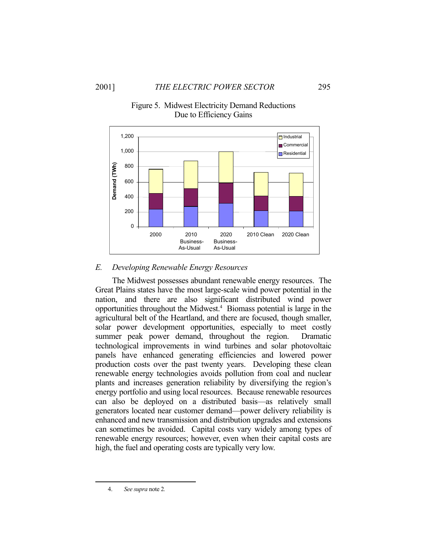

Figure 5. Midwest Electricity Demand Reductions Due to Efficiency Gains

# *E. Developing Renewable Energy Resources*

 The Midwest possesses abundant renewable energy resources. The Great Plains states have the most large-scale wind power potential in the nation, and there are also significant distributed wind power opportunities throughout the Midwest.4 Biomass potential is large in the agricultural belt of the Heartland, and there are focused, though smaller, solar power development opportunities, especially to meet costly summer peak power demand, throughout the region. Dramatic technological improvements in wind turbines and solar photovoltaic panels have enhanced generating efficiencies and lowered power production costs over the past twenty years. Developing these clean renewable energy technologies avoids pollution from coal and nuclear plants and increases generation reliability by diversifying the region's energy portfolio and using local resources. Because renewable resources can also be deployed on a distributed basis—as relatively small generators located near customer demand—power delivery reliability is enhanced and new transmission and distribution upgrades and extensions can sometimes be avoided. Capital costs vary widely among types of renewable energy resources; however, even when their capital costs are high, the fuel and operating costs are typically very low.

1

 <sup>4.</sup> *See supra* note 2*.*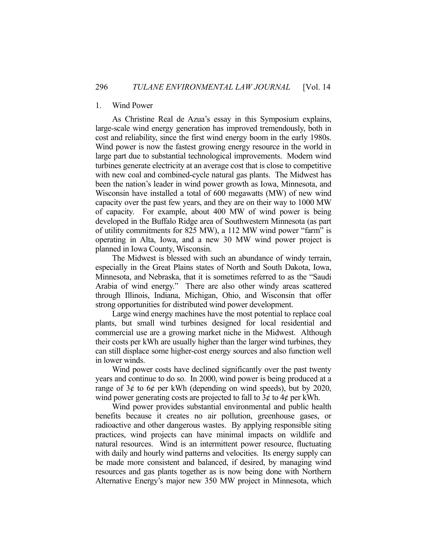#### 1. Wind Power

 As Christine Real de Azua's essay in this Symposium explains, large-scale wind energy generation has improved tremendously, both in cost and reliability, since the first wind energy boom in the early 1980s. Wind power is now the fastest growing energy resource in the world in large part due to substantial technological improvements. Modern wind turbines generate electricity at an average cost that is close to competitive with new coal and combined-cycle natural gas plants. The Midwest has been the nation's leader in wind power growth as Iowa, Minnesota, and Wisconsin have installed a total of 600 megawatts (MW) of new wind capacity over the past few years, and they are on their way to 1000 MW of capacity. For example, about 400 MW of wind power is being developed in the Buffalo Ridge area of Southwestern Minnesota (as part of utility commitments for 825 MW), a 112 MW wind power "farm" is operating in Alta, Iowa, and a new 30 MW wind power project is planned in Iowa County, Wisconsin.

 The Midwest is blessed with such an abundance of windy terrain, especially in the Great Plains states of North and South Dakota, Iowa, Minnesota, and Nebraska, that it is sometimes referred to as the "Saudi Arabia of wind energy." There are also other windy areas scattered through Illinois, Indiana, Michigan, Ohio, and Wisconsin that offer strong opportunities for distributed wind power development.

 Large wind energy machines have the most potential to replace coal plants, but small wind turbines designed for local residential and commercial use are a growing market niche in the Midwest. Although their costs per kWh are usually higher than the larger wind turbines, they can still displace some higher-cost energy sources and also function well in lower winds.

 Wind power costs have declined significantly over the past twenty years and continue to do so. In 2000, wind power is being produced at a range of  $3¢$  to  $6¢$  per kWh (depending on wind speeds), but by 2020, wind power generating costs are projected to fall to  $3¢$  to  $4¢$  per kWh.

 Wind power provides substantial environmental and public health benefits because it creates no air pollution, greenhouse gases, or radioactive and other dangerous wastes. By applying responsible siting practices, wind projects can have minimal impacts on wildlife and natural resources. Wind is an intermittent power resource, fluctuating with daily and hourly wind patterns and velocities. Its energy supply can be made more consistent and balanced, if desired, by managing wind resources and gas plants together as is now being done with Northern Alternative Energy's major new 350 MW project in Minnesota, which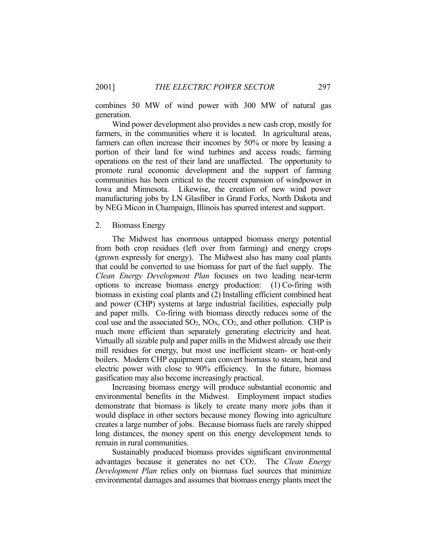combines 50 MW of wind power with 300 MW of natural gas generation.

 Wind power development also provides a new cash crop, mostly for farmers, in the communities where it is located. In agricultural areas, farmers can often increase their incomes by 50% or more by leasing a portion of their land for wind turbines and access roads; farming operations on the rest of their land are unaffected. The opportunity to promote rural economic development and the support of farming communities has been critical to the recent expansion of windpower in Iowa and Minnesota. Likewise, the creation of new wind power manufacturing jobs by LN Glasfiber in Grand Forks, North Dakota and by NEG Micon in Champaign, Illinois has spurred interest and support.

2. Biomass Energy

 The Midwest has enormous untapped biomass energy potential from both crop residues (left over from farming) and energy crops (grown expressly for energy). The Midwest also has many coal plants that could be converted to use biomass for part of the fuel supply. The *Clean Energy Development Plan* focuses on two leading near-term options to increase biomass energy production: (1) Co-firing with biomass in existing coal plants and (2) Installing efficient combined heat and power (CHP) systems at large industrial facilities, especially pulp and paper mills. Co-firing with biomass directly reduces some of the coal use and the associated  $SO_2$ ,  $NO_X$ ,  $CO_2$ , and other pollution. CHP is much more efficient than separately generating electricity and heat. Virtually all sizable pulp and paper mills in the Midwest already use their mill residues for energy, but most use inefficient steam- or heat-only boilers. Modern CHP equipment can convert biomass to steam, heat and electric power with close to 90% efficiency. In the future, biomass gasification may also become increasingly practical.

 Increasing biomass energy will produce substantial economic and environmental benefits in the Midwest. Employment impact studies demonstrate that biomass is likely to create many more jobs than it would displace in other sectors because money flowing into agriculture creates a large number of jobs. Because biomass fuels are rarely shipped long distances, the money spent on this energy development tends to remain in rural communities.

 Sustainably produced biomass provides significant environmental advantages because it generates no net CO2. The *Clean Energy Development Plan* relies only on biomass fuel sources that minimize environmental damages and assumes that biomass energy plants meet the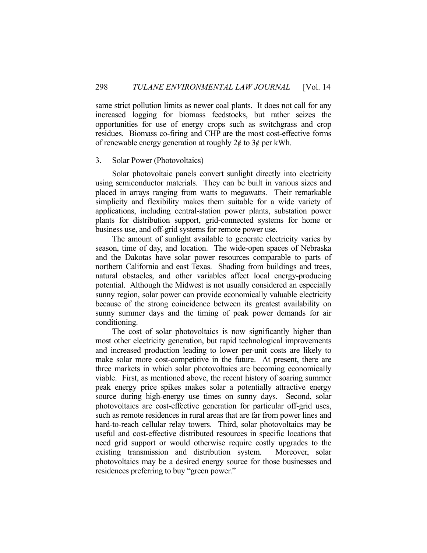same strict pollution limits as newer coal plants. It does not call for any increased logging for biomass feedstocks, but rather seizes the opportunities for use of energy crops such as switchgrass and crop residues. Biomass co-firing and CHP are the most cost-effective forms of renewable energy generation at roughly  $2¢$  to  $3¢$  per kWh.

#### 3. Solar Power (Photovoltaics)

 Solar photovoltaic panels convert sunlight directly into electricity using semiconductor materials. They can be built in various sizes and placed in arrays ranging from watts to megawatts. Their remarkable simplicity and flexibility makes them suitable for a wide variety of applications, including central-station power plants, substation power plants for distribution support, grid-connected systems for home or business use, and off-grid systems for remote power use.

 The amount of sunlight available to generate electricity varies by season, time of day, and location. The wide-open spaces of Nebraska and the Dakotas have solar power resources comparable to parts of northern California and east Texas. Shading from buildings and trees, natural obstacles, and other variables affect local energy-producing potential. Although the Midwest is not usually considered an especially sunny region, solar power can provide economically valuable electricity because of the strong coincidence between its greatest availability on sunny summer days and the timing of peak power demands for air conditioning.

 The cost of solar photovoltaics is now significantly higher than most other electricity generation, but rapid technological improvements and increased production leading to lower per-unit costs are likely to make solar more cost-competitive in the future. At present, there are three markets in which solar photovoltaics are becoming economically viable. First, as mentioned above, the recent history of soaring summer peak energy price spikes makes solar a potentially attractive energy source during high-energy use times on sunny days. Second, solar photovoltaics are cost-effective generation for particular off-grid uses, such as remote residences in rural areas that are far from power lines and hard-to-reach cellular relay towers. Third, solar photovoltaics may be useful and cost-effective distributed resources in specific locations that need grid support or would otherwise require costly upgrades to the existing transmission and distribution system. Moreover, solar photovoltaics may be a desired energy source for those businesses and residences preferring to buy "green power."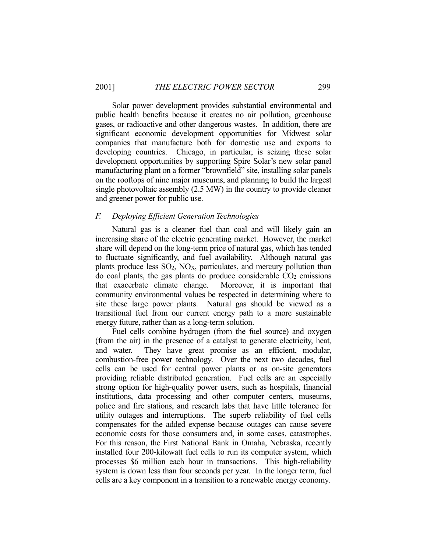Solar power development provides substantial environmental and public health benefits because it creates no air pollution, greenhouse gases, or radioactive and other dangerous wastes. In addition, there are significant economic development opportunities for Midwest solar companies that manufacture both for domestic use and exports to developing countries. Chicago, in particular, is seizing these solar development opportunities by supporting Spire Solar's new solar panel manufacturing plant on a former "brownfield" site, installing solar panels on the rooftops of nine major museums, and planning to build the largest single photovoltaic assembly (2.5 MW) in the country to provide cleaner and greener power for public use.

# *F. Deploying Efficient Generation Technologies*

 Natural gas is a cleaner fuel than coal and will likely gain an increasing share of the electric generating market. However, the market share will depend on the long-term price of natural gas, which has tended to fluctuate significantly, and fuel availability. Although natural gas plants produce less  $SO_2$ ,  $NO<sub>X</sub>$ , particulates, and mercury pollution than  $\alpha$  coal plants, the gas plants do produce considerable  $CO<sub>2</sub>$  emissions that exacerbate climate change. Moreover, it is important that community environmental values be respected in determining where to site these large power plants. Natural gas should be viewed as a transitional fuel from our current energy path to a more sustainable energy future, rather than as a long-term solution.

 Fuel cells combine hydrogen (from the fuel source) and oxygen (from the air) in the presence of a catalyst to generate electricity, heat, and water. They have great promise as an efficient, modular, combustion-free power technology. Over the next two decades, fuel cells can be used for central power plants or as on-site generators providing reliable distributed generation. Fuel cells are an especially strong option for high-quality power users, such as hospitals, financial institutions, data processing and other computer centers, museums, police and fire stations, and research labs that have little tolerance for utility outages and interruptions. The superb reliability of fuel cells compensates for the added expense because outages can cause severe economic costs for those consumers and, in some cases, catastrophes. For this reason, the First National Bank in Omaha, Nebraska, recently installed four 200-kilowatt fuel cells to run its computer system, which processes \$6 million each hour in transactions. This high-reliability system is down less than four seconds per year. In the longer term, fuel cells are a key component in a transition to a renewable energy economy.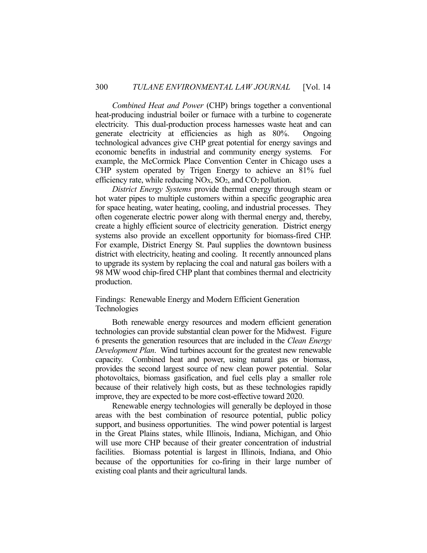*Combined Heat and Power* (CHP) brings together a conventional heat-producing industrial boiler or furnace with a turbine to cogenerate electricity. This dual-production process harnesses waste heat and can generate electricity at efficiencies as high as 80%. Ongoing technological advances give CHP great potential for energy savings and economic benefits in industrial and community energy systems*.* For example, the McCormick Place Convention Center in Chicago uses a CHP system operated by Trigen Energy to achieve an 81% fuel efficiency rate, while reducing  $NO<sub>X</sub>$ ,  $SO<sub>2</sub>$ , and  $CO<sub>2</sub>$  pollution.

 *District Energy Systems* provide thermal energy through steam or hot water pipes to multiple customers within a specific geographic area for space heating, water heating, cooling, and industrial processes. They often cogenerate electric power along with thermal energy and, thereby, create a highly efficient source of electricity generation. District energy systems also provide an excellent opportunity for biomass-fired CHP. For example, District Energy St. Paul supplies the downtown business district with electricity, heating and cooling. It recently announced plans to upgrade its system by replacing the coal and natural gas boilers with a 98 MW wood chip-fired CHP plant that combines thermal and electricity production.

Findings: Renewable Energy and Modern Efficient Generation Technologies

 Both renewable energy resources and modern efficient generation technologies can provide substantial clean power for the Midwest. Figure 6 presents the generation resources that are included in the *Clean Energy Development Plan*. Wind turbines account for the greatest new renewable capacity. Combined heat and power, using natural gas or biomass, provides the second largest source of new clean power potential. Solar photovoltaics, biomass gasification, and fuel cells play a smaller role because of their relatively high costs, but as these technologies rapidly improve, they are expected to be more cost-effective toward 2020.

 Renewable energy technologies will generally be deployed in those areas with the best combination of resource potential, public policy support, and business opportunities. The wind power potential is largest in the Great Plains states, while Illinois, Indiana, Michigan, and Ohio will use more CHP because of their greater concentration of industrial facilities. Biomass potential is largest in Illinois, Indiana, and Ohio because of the opportunities for co-firing in their large number of existing coal plants and their agricultural lands.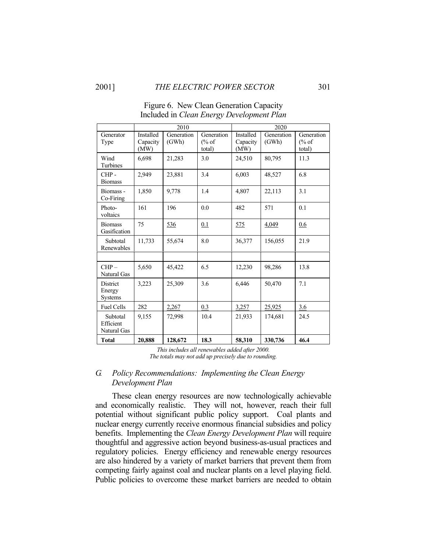|                                             | 2010                                 |                     |                                          | 2020                                 |                     |                                          |
|---------------------------------------------|--------------------------------------|---------------------|------------------------------------------|--------------------------------------|---------------------|------------------------------------------|
| Generator<br>Type                           | <b>Installed</b><br>Capacity<br>(MW) | Generation<br>(GWh) | Generation<br>$\frac{6}{6}$ of<br>total) | <b>Installed</b><br>Capacity<br>(MW) | Generation<br>(GWh) | Generation<br>$\frac{6}{6}$ of<br>total) |
| Wind<br>Turbines                            | 6,698                                | 21,283              | 3.0                                      | 24,510                               | 80,795              | 11.3                                     |
| CHP-<br><b>Biomass</b>                      | 2,949                                | 23,881              | 3.4                                      | 6,003                                | 48,527              | 6.8                                      |
| Biomass -<br>Co-Firing                      | 1,850                                | 9,778               | 1.4                                      | 4,807                                | 22,113              | 3.1                                      |
| Photo-<br>voltaics                          | 161                                  | 196                 | 0.0                                      | 482                                  | 571                 | 0.1                                      |
| <b>Biomass</b><br>Gasification              | 75                                   | 536                 | 0.1                                      | 575                                  | 4,049               | 0.6                                      |
| Subtotal<br>Renewables                      | 11,733                               | 55,674              | 8.0                                      | 36,377                               | 156,055             | 21.9                                     |
|                                             |                                      |                     |                                          |                                      |                     |                                          |
| $CHP -$<br>Natural Gas                      | 5,650                                | 45,422              | 6.5                                      | 12,230                               | 98,286              | 13.8                                     |
| <b>District</b><br>Energy<br><b>Systems</b> | 3,223                                | 25,309              | 3.6                                      | 6,446                                | 50,470              | 7.1                                      |
| <b>Fuel Cells</b>                           | 282                                  | 2,267               | 0.3                                      | 3,257                                | 25,925              | 3.6                                      |
| Subtotal<br>Efficient<br>Natural Gas        | 9,155                                | 72,998              | 10.4                                     | 21,933                               | 174,681             | 24.5                                     |
| <b>Total</b>                                | 20,888                               | 128,672             | 18.3                                     | 58,310                               | 330,736             | 46.4                                     |

Figure 6. New Clean Generation Capacity Included in *Clean Energy Development Plan*

*This includes all renewables added after 2000. The totals may not add up precisely due to rounding.* 

# *G. Policy Recommendations: Implementing the Clean Energy Development Plan*

 These clean energy resources are now technologically achievable and economically realistic. They will not, however, reach their full potential without significant public policy support. Coal plants and nuclear energy currently receive enormous financial subsidies and policy benefits. Implementing the *Clean Energy Development Plan* will require thoughtful and aggressive action beyond business-as-usual practices and regulatory policies. Energy efficiency and renewable energy resources are also hindered by a variety of market barriers that prevent them from competing fairly against coal and nuclear plants on a level playing field. Public policies to overcome these market barriers are needed to obtain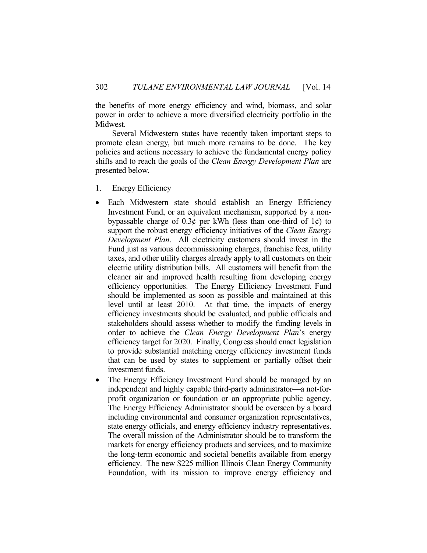the benefits of more energy efficiency and wind, biomass, and solar power in order to achieve a more diversified electricity portfolio in the Midwest.

 Several Midwestern states have recently taken important steps to promote clean energy, but much more remains to be done. The key policies and actions necessary to achieve the fundamental energy policy shifts and to reach the goals of the *Clean Energy Development Plan* are presented below.

- 1. Energy Efficiency
- Each Midwestern state should establish an Energy Efficiency Investment Fund, or an equivalent mechanism, supported by a nonbypassable charge of  $0.3\phi$  per kWh (less than one-third of  $1\phi$ ) to support the robust energy efficiency initiatives of the *Clean Energy Development Plan*. All electricity customers should invest in the Fund just as various decommissioning charges, franchise fees, utility taxes, and other utility charges already apply to all customers on their electric utility distribution bills. All customers will benefit from the cleaner air and improved health resulting from developing energy efficiency opportunities. The Energy Efficiency Investment Fund should be implemented as soon as possible and maintained at this level until at least 2010. At that time, the impacts of energy efficiency investments should be evaluated, and public officials and stakeholders should assess whether to modify the funding levels in order to achieve the *Clean Energy Development Plan*'s energy efficiency target for 2020. Finally, Congress should enact legislation to provide substantial matching energy efficiency investment funds that can be used by states to supplement or partially offset their investment funds.
- The Energy Efficiency Investment Fund should be managed by an independent and highly capable third-party administrator—a not-forprofit organization or foundation or an appropriate public agency. The Energy Efficiency Administrator should be overseen by a board including environmental and consumer organization representatives, state energy officials, and energy efficiency industry representatives. The overall mission of the Administrator should be to transform the markets for energy efficiency products and services, and to maximize the long-term economic and societal benefits available from energy efficiency. The new \$225 million Illinois Clean Energy Community Foundation, with its mission to improve energy efficiency and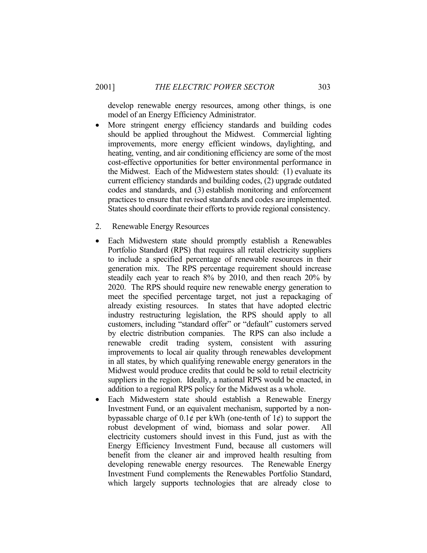develop renewable energy resources, among other things, is one model of an Energy Efficiency Administrator.

- More stringent energy efficiency standards and building codes should be applied throughout the Midwest. Commercial lighting improvements, more energy efficient windows, daylighting, and heating, venting, and air conditioning efficiency are some of the most cost-effective opportunities for better environmental performance in the Midwest. Each of the Midwestern states should: (1) evaluate its current efficiency standards and building codes, (2) upgrade outdated codes and standards, and (3) establish monitoring and enforcement practices to ensure that revised standards and codes are implemented. States should coordinate their efforts to provide regional consistency.
- 2. Renewable Energy Resources
- Each Midwestern state should promptly establish a Renewables Portfolio Standard (RPS) that requires all retail electricity suppliers to include a specified percentage of renewable resources in their generation mix. The RPS percentage requirement should increase steadily each year to reach 8% by 2010, and then reach 20% by 2020. The RPS should require new renewable energy generation to meet the specified percentage target, not just a repackaging of already existing resources. In states that have adopted electric industry restructuring legislation, the RPS should apply to all customers, including "standard offer" or "default" customers served by electric distribution companies. The RPS can also include a renewable credit trading system, consistent with assuring improvements to local air quality through renewables development in all states, by which qualifying renewable energy generators in the Midwest would produce credits that could be sold to retail electricity suppliers in the region. Ideally, a national RPS would be enacted, in addition to a regional RPS policy for the Midwest as a whole.
- Each Midwestern state should establish a Renewable Energy Investment Fund, or an equivalent mechanism, supported by a nonbypassable charge of  $0.1\phi$  per kWh (one-tenth of  $1\phi$ ) to support the robust development of wind, biomass and solar power. All electricity customers should invest in this Fund, just as with the Energy Efficiency Investment Fund, because all customers will benefit from the cleaner air and improved health resulting from developing renewable energy resources. The Renewable Energy Investment Fund complements the Renewables Portfolio Standard, which largely supports technologies that are already close to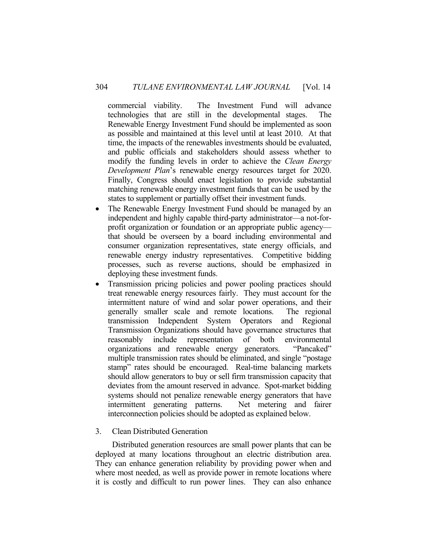commercial viability. The Investment Fund will advance technologies that are still in the developmental stages. The Renewable Energy Investment Fund should be implemented as soon as possible and maintained at this level until at least 2010. At that time, the impacts of the renewables investments should be evaluated, and public officials and stakeholders should assess whether to modify the funding levels in order to achieve the *Clean Energy Development Plan*'s renewable energy resources target for 2020. Finally, Congress should enact legislation to provide substantial matching renewable energy investment funds that can be used by the states to supplement or partially offset their investment funds.

- The Renewable Energy Investment Fund should be managed by an independent and highly capable third-party administrator—a not-forprofit organization or foundation or an appropriate public agency that should be overseen by a board including environmental and consumer organization representatives, state energy officials, and renewable energy industry representatives. Competitive bidding processes, such as reverse auctions, should be emphasized in deploying these investment funds.
- Transmission pricing policies and power pooling practices should treat renewable energy resources fairly. They must account for the intermittent nature of wind and solar power operations, and their generally smaller scale and remote locations. The regional transmission Independent System Operators and Regional Transmission Organizations should have governance structures that reasonably include representation of both environmental organizations and renewable energy generators. "Pancaked" multiple transmission rates should be eliminated, and single "postage stamp" rates should be encouraged. Real-time balancing markets should allow generators to buy or sell firm transmission capacity that deviates from the amount reserved in advance. Spot-market bidding systems should not penalize renewable energy generators that have intermittent generating patterns. Net metering and fairer interconnection policies should be adopted as explained below.

# 3. Clean Distributed Generation

 Distributed generation resources are small power plants that can be deployed at many locations throughout an electric distribution area. They can enhance generation reliability by providing power when and where most needed, as well as provide power in remote locations where it is costly and difficult to run power lines. They can also enhance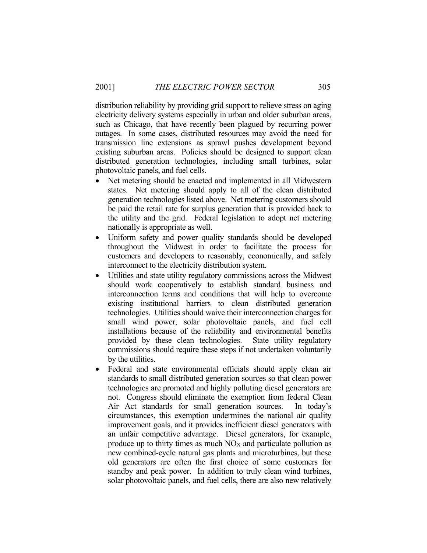distribution reliability by providing grid support to relieve stress on aging electricity delivery systems especially in urban and older suburban areas, such as Chicago, that have recently been plagued by recurring power outages. In some cases, distributed resources may avoid the need for transmission line extensions as sprawl pushes development beyond existing suburban areas. Policies should be designed to support clean distributed generation technologies, including small turbines, solar photovoltaic panels, and fuel cells.

- Net metering should be enacted and implemented in all Midwestern states. Net metering should apply to all of the clean distributed generation technologies listed above. Net metering customers should be paid the retail rate for surplus generation that is provided back to the utility and the grid. Federal legislation to adopt net metering nationally is appropriate as well.
- Uniform safety and power quality standards should be developed throughout the Midwest in order to facilitate the process for customers and developers to reasonably, economically, and safely interconnect to the electricity distribution system.
- Utilities and state utility regulatory commissions across the Midwest should work cooperatively to establish standard business and interconnection terms and conditions that will help to overcome existing institutional barriers to clean distributed generation technologies. Utilities should waive their interconnection charges for small wind power, solar photovoltaic panels, and fuel cell installations because of the reliability and environmental benefits provided by these clean technologies. State utility regulatory commissions should require these steps if not undertaken voluntarily by the utilities.
- Federal and state environmental officials should apply clean air standards to small distributed generation sources so that clean power technologies are promoted and highly polluting diesel generators are not. Congress should eliminate the exemption from federal Clean Air Act standards for small generation sources. In today's circumstances, this exemption undermines the national air quality improvement goals, and it provides inefficient diesel generators with an unfair competitive advantage. Diesel generators, for example, produce up to thirty times as much  $NO_X$  and particulate pollution as new combined-cycle natural gas plants and microturbines, but these old generators are often the first choice of some customers for standby and peak power. In addition to truly clean wind turbines, solar photovoltaic panels, and fuel cells, there are also new relatively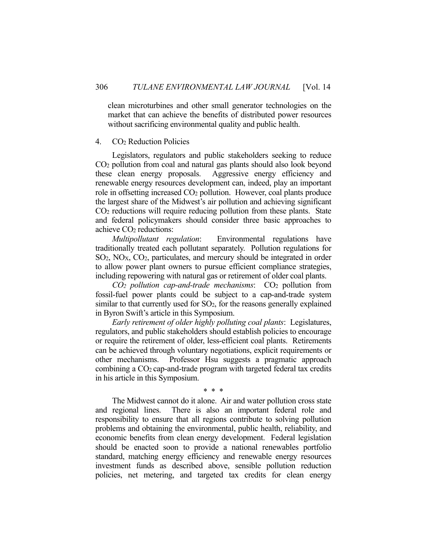clean microturbines and other small generator technologies on the market that can achieve the benefits of distributed power resources without sacrificing environmental quality and public health.

# 4. CO2 Reduction Policies

 Legislators, regulators and public stakeholders seeking to reduce CO2 pollution from coal and natural gas plants should also look beyond these clean energy proposals. Aggressive energy efficiency and renewable energy resources development can, indeed, play an important role in offsetting increased CO2 pollution. However, coal plants produce the largest share of the Midwest's air pollution and achieving significant CO2 reductions will require reducing pollution from these plants. State and federal policymakers should consider three basic approaches to achieve CO2 reductions:

*Multipollutant regulation*: Environmental regulations have traditionally treated each pollutant separately. Pollution regulations for SO2, NOX, CO2, particulates, and mercury should be integrated in order to allow power plant owners to pursue efficient compliance strategies, including repowering with natural gas or retirement of older coal plants.

*CO2 pollution cap-and-trade mechanisms*: CO2 pollution from fossil-fuel power plants could be subject to a cap-and-trade system similar to that currently used for  $SO<sub>2</sub>$ , for the reasons generally explained in Byron Swift's article in this Symposium.

*Early retirement of older highly polluting coal plants*: Legislatures, regulators, and public stakeholders should establish policies to encourage or require the retirement of older, less-efficient coal plants. Retirements can be achieved through voluntary negotiations, explicit requirements or other mechanisms. Professor Hsu suggests a pragmatic approach combining a CO<sub>2</sub> cap-and-trade program with targeted federal tax credits in his article in this Symposium.

#### \* \* \*

 The Midwest cannot do it alone. Air and water pollution cross state and regional lines. There is also an important federal role and responsibility to ensure that all regions contribute to solving pollution problems and obtaining the environmental, public health, reliability, and economic benefits from clean energy development. Federal legislation should be enacted soon to provide a national renewables portfolio standard, matching energy efficiency and renewable energy resources investment funds as described above, sensible pollution reduction policies, net metering, and targeted tax credits for clean energy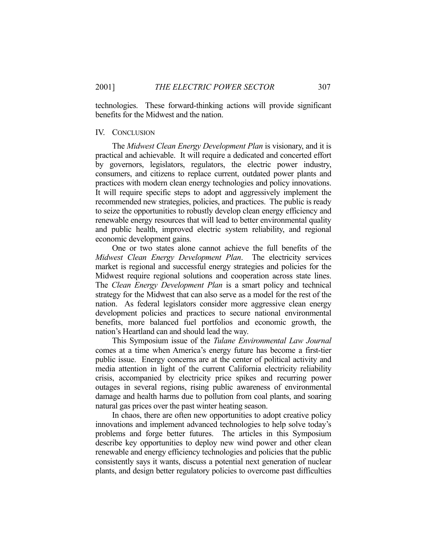technologies. These forward-thinking actions will provide significant benefits for the Midwest and the nation.

#### IV. CONCLUSION

 The *Midwest Clean Energy Development Plan* is visionary, and it is practical and achievable. It will require a dedicated and concerted effort by governors, legislators, regulators, the electric power industry, consumers, and citizens to replace current, outdated power plants and practices with modern clean energy technologies and policy innovations. It will require specific steps to adopt and aggressively implement the recommended new strategies, policies, and practices. The public is ready to seize the opportunities to robustly develop clean energy efficiency and renewable energy resources that will lead to better environmental quality and public health, improved electric system reliability, and regional economic development gains.

 One or two states alone cannot achieve the full benefits of the *Midwest Clean Energy Development Plan*. The electricity services market is regional and successful energy strategies and policies for the Midwest require regional solutions and cooperation across state lines. The *Clean Energy Development Plan* is a smart policy and technical strategy for the Midwest that can also serve as a model for the rest of the nation. As federal legislators consider more aggressive clean energy development policies and practices to secure national environmental benefits, more balanced fuel portfolios and economic growth, the nation's Heartland can and should lead the way.

 This Symposium issue of the *Tulane Environmental Law Journal* comes at a time when America's energy future has become a first-tier public issue. Energy concerns are at the center of political activity and media attention in light of the current California electricity reliability crisis, accompanied by electricity price spikes and recurring power outages in several regions, rising public awareness of environmental damage and health harms due to pollution from coal plants, and soaring natural gas prices over the past winter heating season.

 In chaos, there are often new opportunities to adopt creative policy innovations and implement advanced technologies to help solve today's problems and forge better futures. The articles in this Symposium describe key opportunities to deploy new wind power and other clean renewable and energy efficiency technologies and policies that the public consistently says it wants, discuss a potential next generation of nuclear plants, and design better regulatory policies to overcome past difficulties